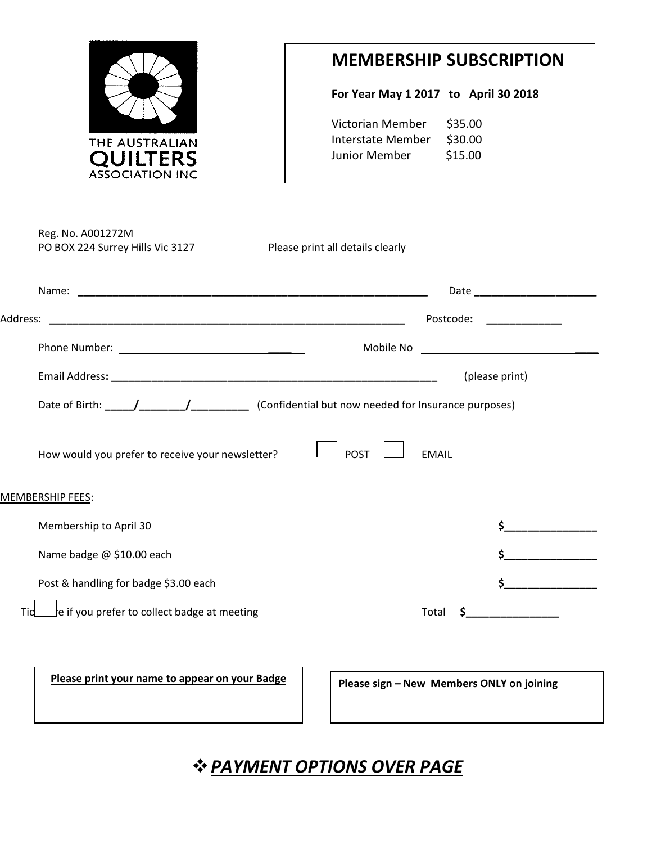

## **MEMBERSHIP SUBSCRIPTION**

**For Year May 1 2017 to April 30 2018**

| Victorian Member  | \$35.00 |
|-------------------|---------|
| Interstate Member | \$30.00 |
| Junior Member     | \$15.00 |

|                                                  | Date ________________________                                                                                                                                    |
|--------------------------------------------------|------------------------------------------------------------------------------------------------------------------------------------------------------------------|
|                                                  | Postcode:<br>$\overline{a}$ and $\overline{a}$ are $\overline{a}$ and $\overline{a}$ and $\overline{a}$ are $\overline{a}$ and $\overline{a}$ are $\overline{a}$ |
|                                                  |                                                                                                                                                                  |
|                                                  | (please print)                                                                                                                                                   |
|                                                  |                                                                                                                                                                  |
| How would you prefer to receive your newsletter? | <b>POST</b><br><b>EMAIL</b>                                                                                                                                      |
| <b>MEMBERSHIP FEES:</b>                          |                                                                                                                                                                  |
| Membership to April 30                           |                                                                                                                                                                  |
|                                                  |                                                                                                                                                                  |
| Name badge @ \$10.00 each                        |                                                                                                                                                                  |
| Post & handling for badge \$3.00 each            | <u> 1990 - Jan Jawa</u>                                                                                                                                          |

**Please print your name to appear on your Badge Please sign – New Members ONLY on joining** 

*PAYMENT OPTIONS OVER PAGE*